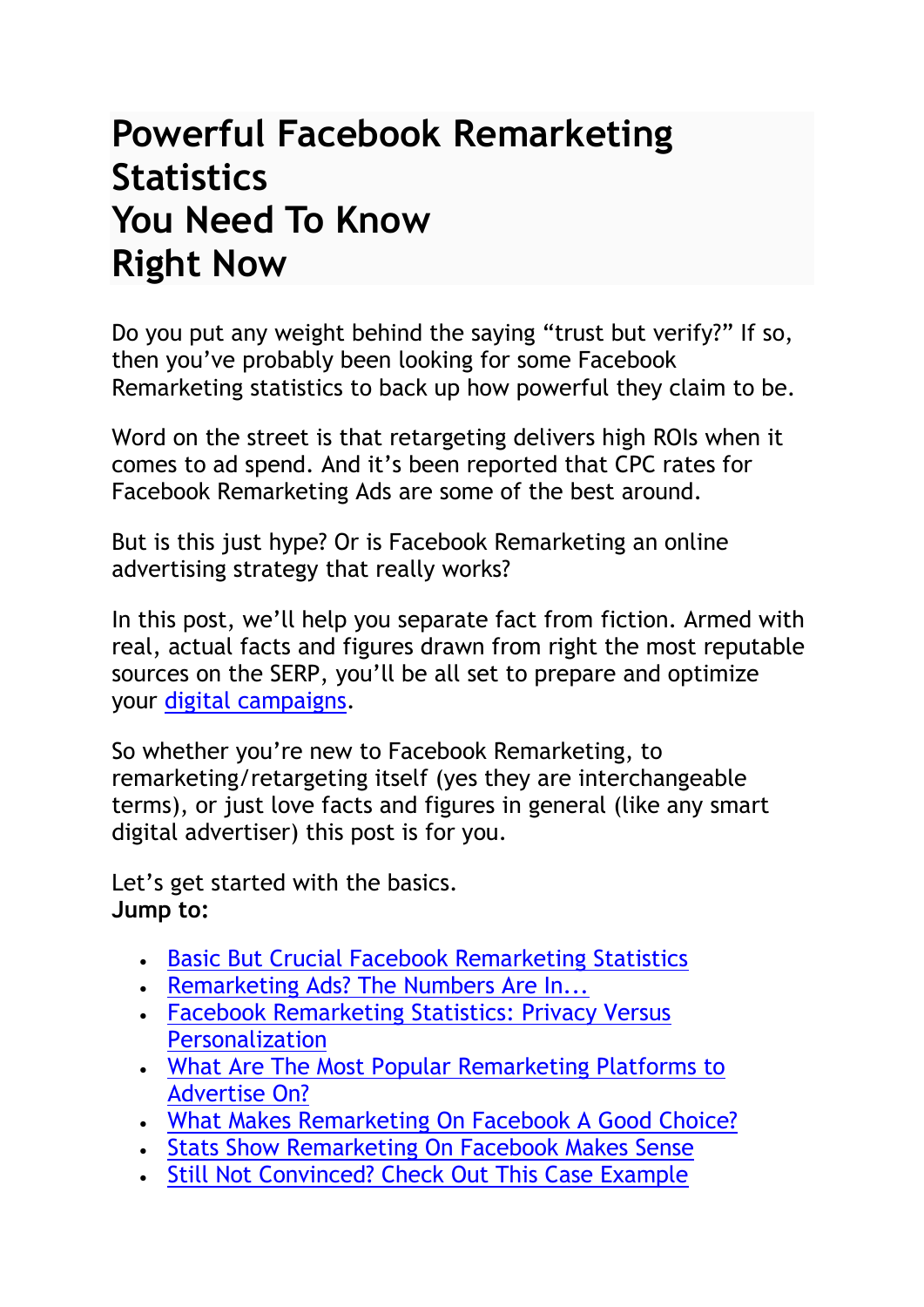# **Powerful Facebook Remarketing Statistics You Need To Know Right Now**

Do you put any weight behind the saying "trust but verify?" If so, then you've probably been looking for some Facebook Remarketing statistics to back up how powerful they claim to be.

Word on the street is that retargeting delivers high ROIs when it comes to ad spend. And it's been reported that CPC rates for Facebook Remarketing Ads are some of the best around.

But is this just hype? Or is Facebook Remarketing an online advertising strategy that really works?

In this post, we'll help you separate fact from fiction. Armed with real, actual facts and figures drawn from right the most reputable sources on the SERP, you'll be all set to prepare and optimize your [digital campaigns.](https://klientboost.com/facebook-ads-agency/)

So whether you're new to Facebook Remarketing, to remarketing/retargeting itself (yes they are interchangeable terms), or just love facts and figures in general (like any smart digital advertiser) this post is for you.

Let's get started with the basics. **Jump to:**

- [Basic But Crucial Facebook Remarketing Statistics](https://klientboost.com/facebook/facebook-remarketing-statistics/#h.nrmabovs9us3)
- [Remarketing Ads? The Numbers Are In...](https://klientboost.com/facebook/facebook-remarketing-statistics/#h.44qa2rdu5u07)
- [Facebook Remarketing Statistics: Privacy Versus](https://klientboost.com/facebook/facebook-remarketing-statistics/#h.xb15h84f84el)  **[Personalization](https://klientboost.com/facebook/facebook-remarketing-statistics/#h.xb15h84f84el)**
- [What Are The Most Popular Remarketing Platforms to](https://klientboost.com/facebook/facebook-remarketing-statistics/#h.qbfu79ffw1dk)  [Advertise On?](https://klientboost.com/facebook/facebook-remarketing-statistics/#h.qbfu79ffw1dk)
- [What Makes Remarketing On Facebook A Good](https://klientboost.com/facebook/facebook-remarketing-statistics/#h.w82cijg5uzku) Choice?
- [Stats Show Remarketing On Facebook Makes Sense](https://klientboost.com/facebook/facebook-remarketing-statistics/#h.sbvf2ym4v0wu)
- [Still Not Convinced? Check Out This Case Example](https://klientboost.com/facebook/facebook-remarketing-statistics/#h.kou6ku6016ga)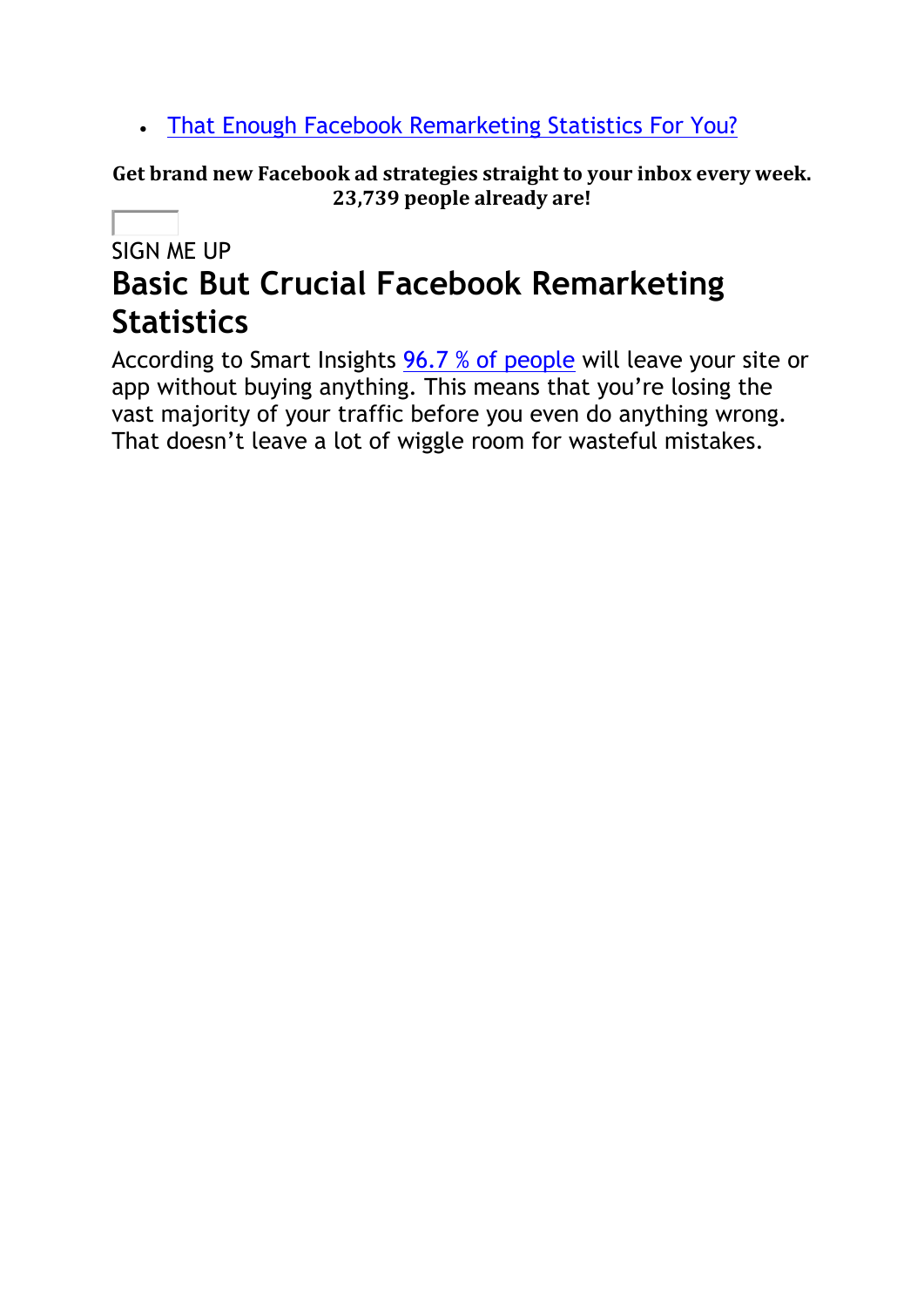• [That Enough Facebook Remarketing Statistics For You?](https://klientboost.com/facebook/facebook-remarketing-statistics/#h.ffc7nnbdfi7)

**Get brand new Facebook ad strategies straight to your inbox every week. 23,739 people already are!**

## SIGN ME UP **Basic But Crucial Facebook Remarketing Statistics**

According to Smart Insights [96.7 % of people](https://www.smartinsights.com/ecommerce/ecommerce-analytics/ecommerce-conversion-rates/) will leave your site or app without buying anything. This means that you're losing the vast majority of your traffic before you even do anything wrong. That doesn't leave a lot of wiggle room for wasteful mistakes.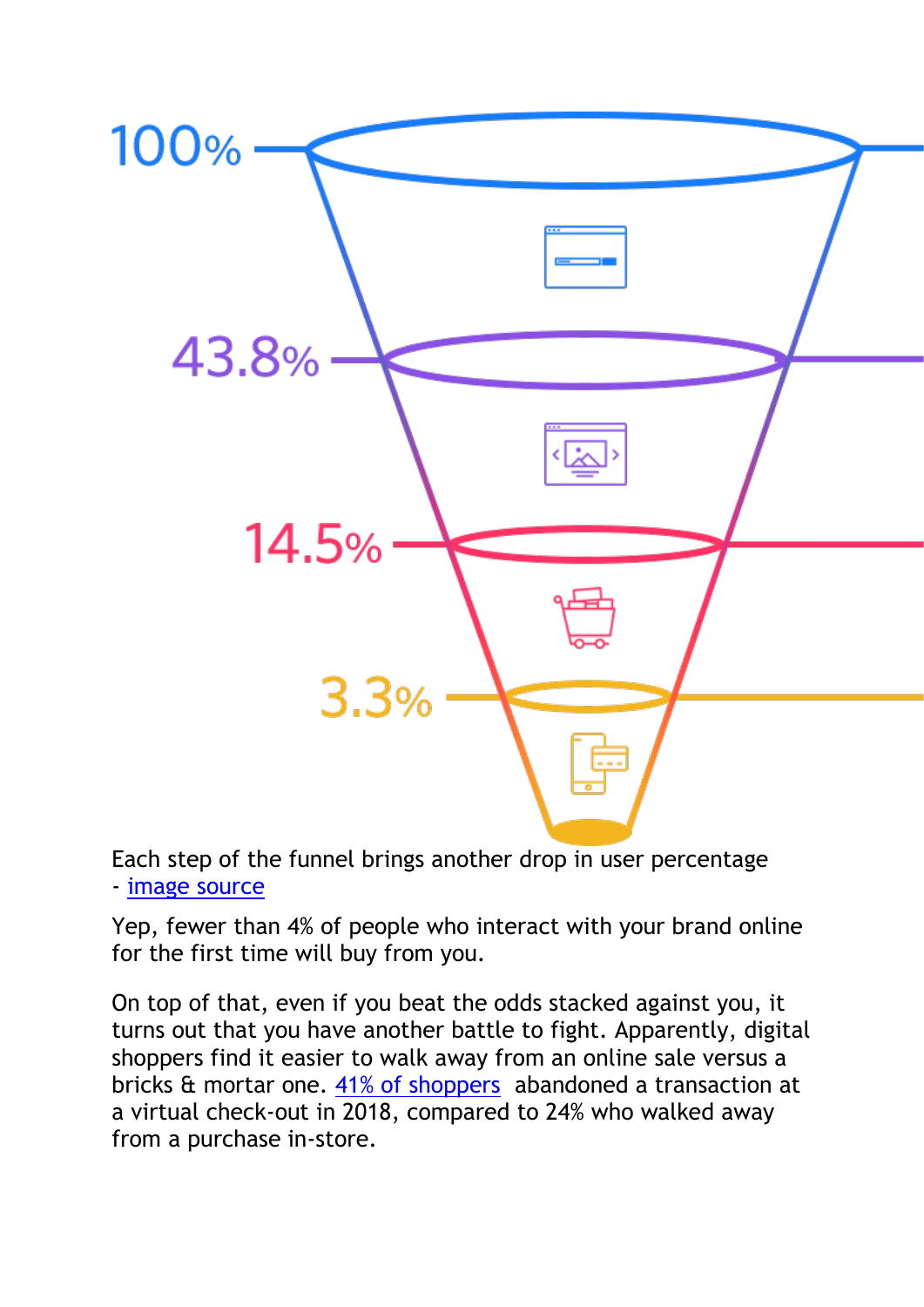

Each step of the funnel brings another drop in user percentage - [image source](https://www.smartinsights.com/ecommerce/ecommerce-analytics/ecommerce-conversion-rates/)

Yep, fewer than 4% of people who interact with your brand online for the first time will buy from you.

On top of that, even if you beat the odds stacked against you, it turns out that you have another battle to fight. Apparently, digital shoppers find it easier to walk away from an online sale versus a bricks & mortar one. [41% of shoppers](https://99firms.com/blog/ecommerce-statistics/#gref) abandoned a transaction at a virtual check-out in 2018, compared to 24% who walked away from a purchase in-store.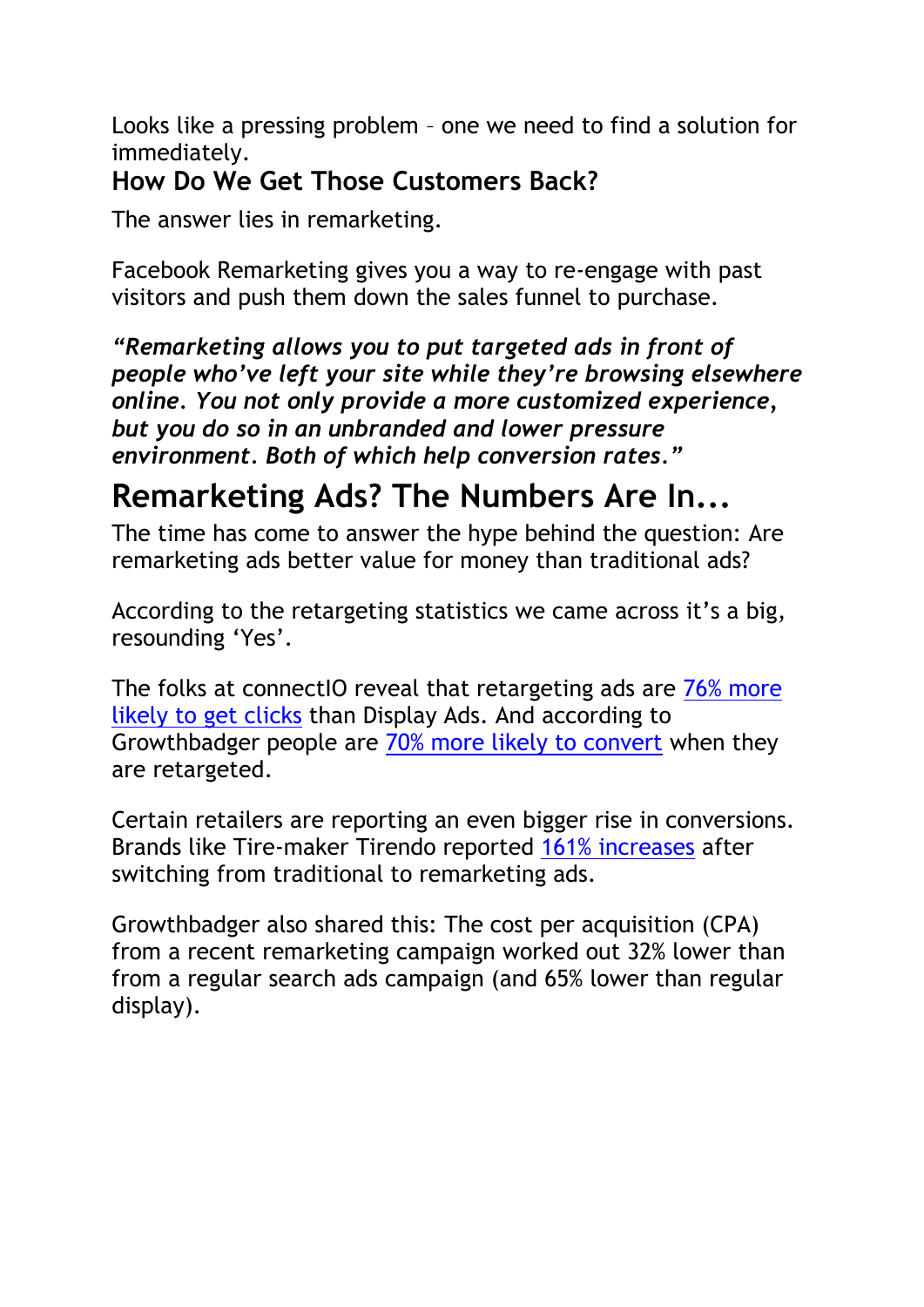Looks like a pressing problem – one we need to find a solution for immediately.

#### **How Do We Get Those Customers Back?**

The answer lies in remarketing.

Facebook Remarketing gives you a way to re-engage with past visitors and push them down the sales funnel to purchase.

*"Remarketing allows you to put targeted ads in front of people who've left your site while they're browsing elsewhere online. You not only provide a more customized experience, but you do so in an unbranded and lower pressure environment. Both of which help conversion rates."*

# **Remarketing Ads? The Numbers Are In...**

The time has come to answer the hype behind the question: Are remarketing ads better value for money than traditional ads?

According to the retargeting statistics we came across it's a big, resounding 'Yes'.

The folks at connectIO reveal that retargeting ads are [76% more](https://connectio.io/facebook-retargeting-stats/)  [likely to get clicks](https://connectio.io/facebook-retargeting-stats/) than Display Ads. And according to Growthbadger people are [70% more likely to convert](https://growthbadger.com/remarketing/) when they are retargeted.

Certain retailers are reporting an even bigger rise in conversions. Brands like Tire-maker Tirendo reported [161% increases](https://services.google.com/fh/files/misc/casestudy-rlsa-tirendo.pdf) after switching from traditional to remarketing ads.

Growthbadger also shared this: The cost per acquisition (CPA) from a recent remarketing campaign worked out 32% lower than from a regular search ads campaign (and 65% lower than regular display).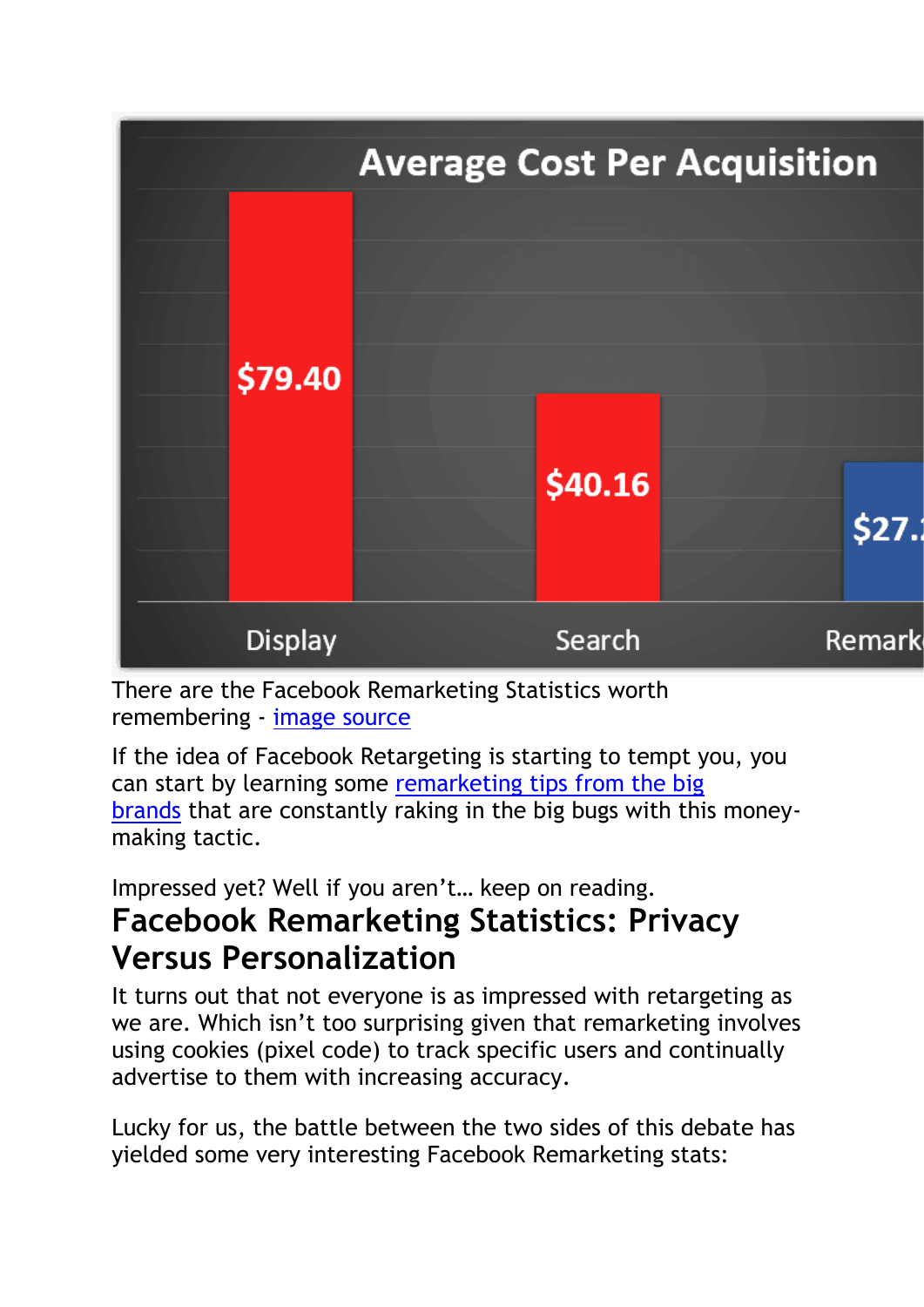

There are the Facebook Remarketing Statistics worth remembering - [image source](https://growthbadger.com/remarketing/)

If the idea of Facebook Retargeting is starting to tempt you, you can start by learning some [remarketing tips from the big](https://klientboost.com/retargeting/retargeting-campaign/)  [brands](https://klientboost.com/retargeting/retargeting-campaign/) that are constantly raking in the big bugs with this moneymaking tactic.

Impressed yet? Well if you aren't… keep on reading.

## **Facebook Remarketing Statistics: Privacy Versus Personalization**

It turns out that not everyone is as impressed with retargeting as we are. Which isn't too surprising given that remarketing involves using cookies (pixel code) to track specific users and continually advertise to them with increasing accuracy.

Lucky for us, the battle between the two sides of this debate has yielded some very interesting Facebook Remarketing stats: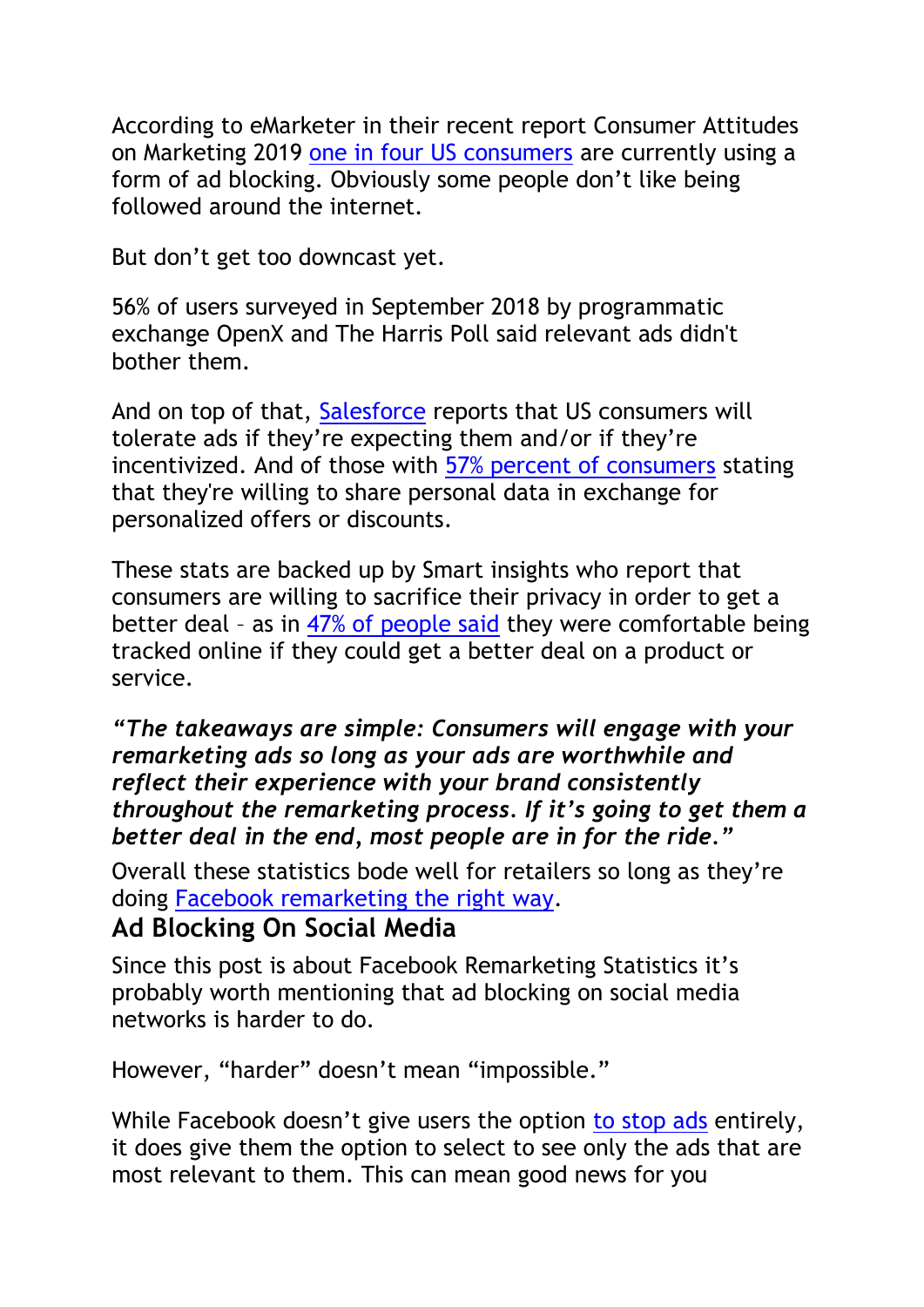According to eMarketer in their recent report Consumer Attitudes on Marketing 2019 [one in four US consumers](https://www.emarketer.com/topics/topic/ad-blocking) are currently using a form of ad blocking. Obviously some people don't like being followed around the internet.

But don't get too downcast yet.

56% of users surveyed in September 2018 by programmatic exchange OpenX and The Harris Poll said relevant ads didn't bother them.

And on top of that, [Salesforce](https://www.salesforce.org/blog/) reports that US consumers will tolerate ads if they're expecting them and/or if they're incentivized. And of those with [57% percent of consumers](https://www.salesforce.com/blog/2016/11/swap-data-for-personalized-marketing.html) stating that they're willing to share personal data in exchange for personalized offers or discounts.

These stats are backed up by Smart insights who report that consumers are willing to sacrifice their privacy in order to get a better deal – as in [47% of people said](https://www.smartinsights.com/customer-relationship-management/customer-privacy/online-privacy-vs-marketing-which-matters-more/) they were comfortable being tracked online if they could get a better deal on a product or service.

#### *"The takeaways are simple: Consumers will engage with your remarketing ads so long as your ads are worthwhile and reflect their experience with your brand consistently throughout the remarketing process. If it's going to get them a better deal in the end, most people are in for the ride."*

Overall these statistics bode well for retailers so long as they're doing [Facebook remarketing the right way.](https://klientboost.com/ppc/remarketing-not-working/)

#### **Ad Blocking On Social Media**

Since this post is about Facebook Remarketing Statistics it's probably worth mentioning that ad blocking on social media networks is harder to do.

However, "harder" doesn't mean "impossible."

While Facebook doesn't give users the option [to stop ads](https://en-gb.facebook.com/help/146952742043748?helpref=uf_permalink) entirely, it does give them the option to select to see only the ads that are most relevant to them. This can mean good news for you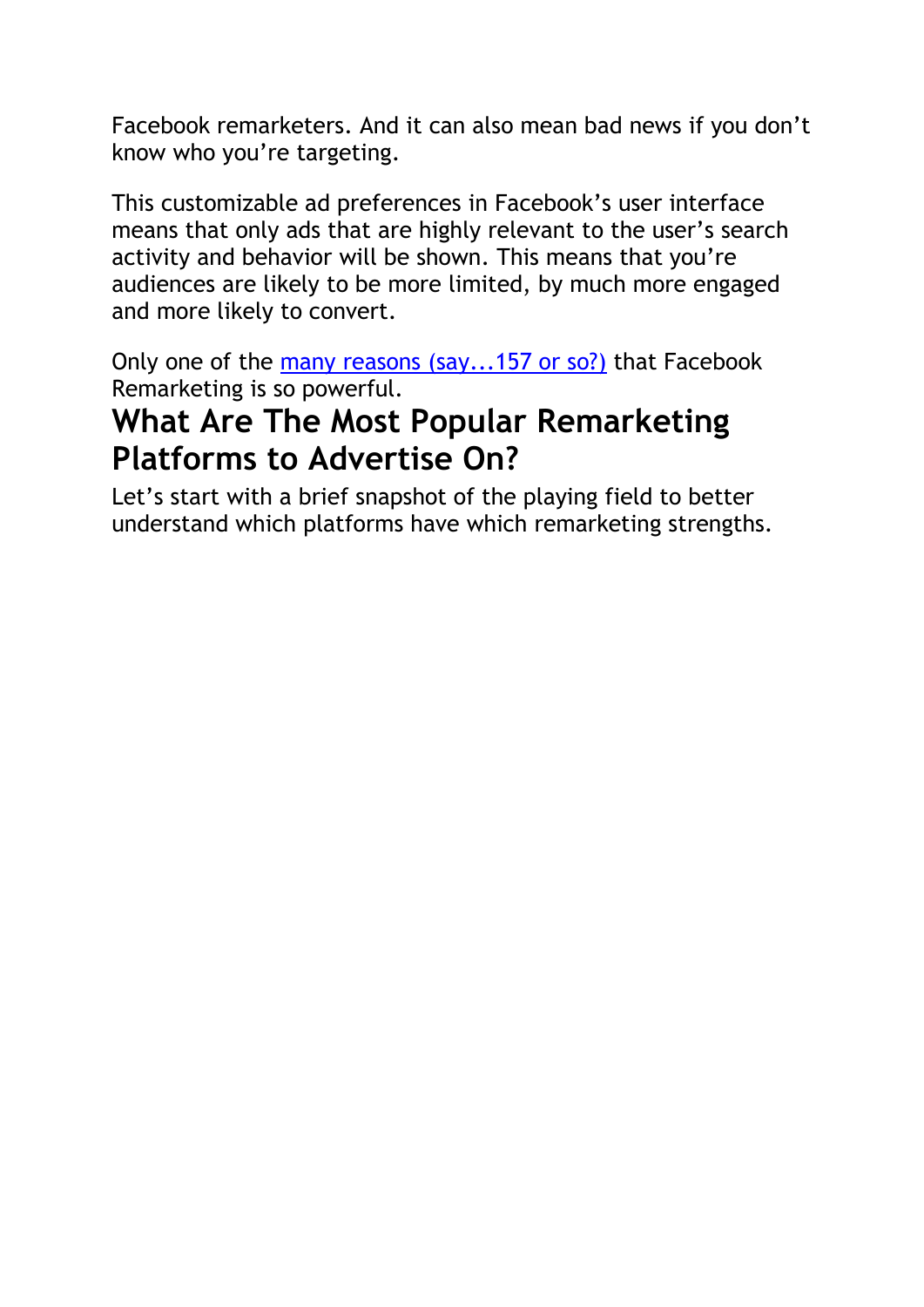Facebook remarketers. And it can also mean bad news if you don't know who you're targeting.

This customizable ad preferences in Facebook's user interface means that only ads that are highly relevant to the user's search activity and behavior will be shown. This means that you're audiences are likely to be more limited, by much more engaged and more likely to convert.

Only one of the [many reasons \(say...157 or so?\)](https://klientboost.com/retargeting/facebook-retargeting/) that Facebook Remarketing is so powerful.

# **What Are The Most Popular Remarketing Platforms to Advertise On?**

Let's start with a brief snapshot of the playing field to better understand which platforms have which remarketing strengths.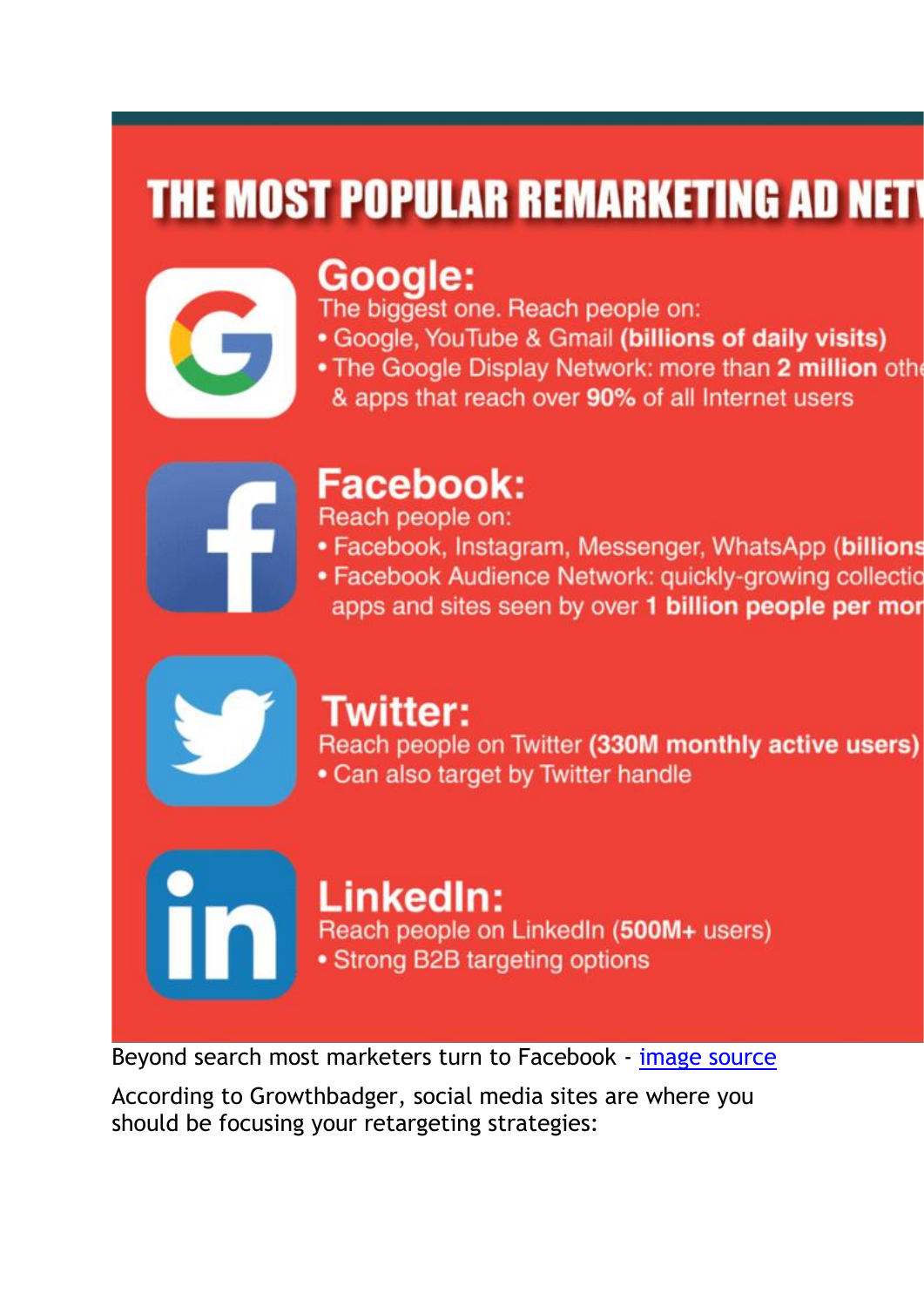# **THE MOST POPULAR REMARKETING AD NETV**



# Google:

The biggest one. Reach people on:

- Google, YouTube & Gmail (billions of daily visits)
- . The Google Display Network: more than 2 million other
	- & apps that reach over 90% of all Internet users



# **Facebook:**

Reach people on:

- · Facebook, Instagram, Messenger, WhatsApp (billions
- Facebook Audience Network: quickly-growing collectic apps and sites seen by over 1 billion people per mor



## **Twitter:**

Reach people on Twitter (330M monthly active users) • Can also target by Twitter handle

#### LinkedIn: Reach people on LinkedIn (500M+ users) • Strong B2B targeting options

Beyond search most marketers turn to Facebook - [image source](https://growthbadger.com/remarketing/)

According to Growthbadger, social media sites are where you should be focusing your retargeting strategies: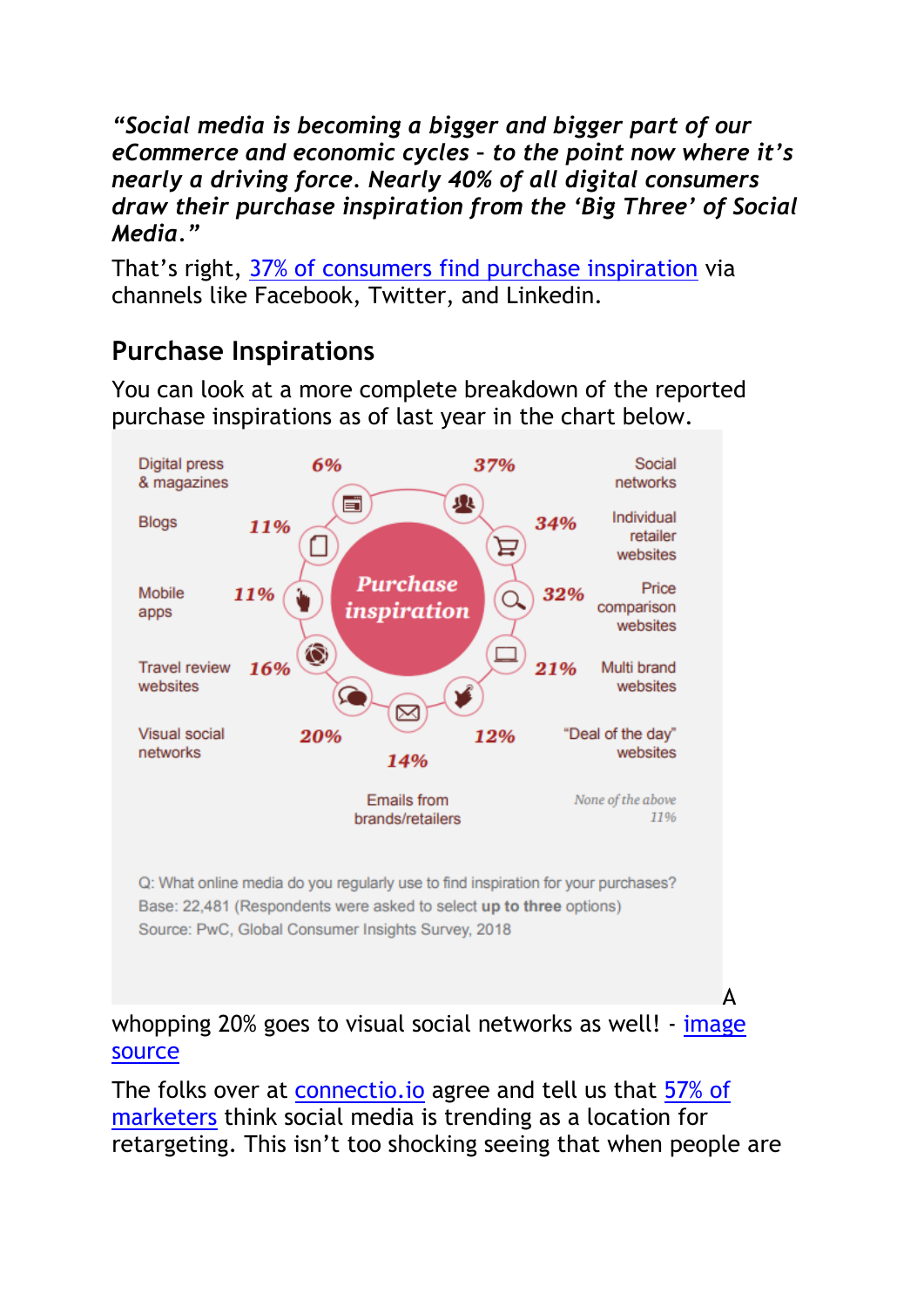*"Social media is becoming a bigger and bigger part of our eCommerce and economic cycles – to the point now where it's nearly a driving force. Nearly 40% of all digital consumers draw their purchase inspiration from the 'Big Three' of Social Media."*

That's right, [37% of consumers find purchase inspiration](https://www.pwc.com/gx/en/retail-consumer/assets/consumer-trust-global-consumer-insights-survey.pdf) via channels like Facebook, Twitter, and Linkedin.

#### **Purchase Inspirations**

You can look at a more complete breakdown of the reported purchase inspirations as of last year in the chart below.



whopping 20% goes to visual social networks as well! - image [source](https://sproutsocial.com/insights/social-media-statistics/)

The folks over at [connectio.io](https://connectio.io/) agree and tell us that [57% of](https://connectio.io/facebook-retargeting-stats/)  [marketers](https://connectio.io/facebook-retargeting-stats/) think social media is trending as a location for retargeting. This isn't too shocking seeing that when people are

A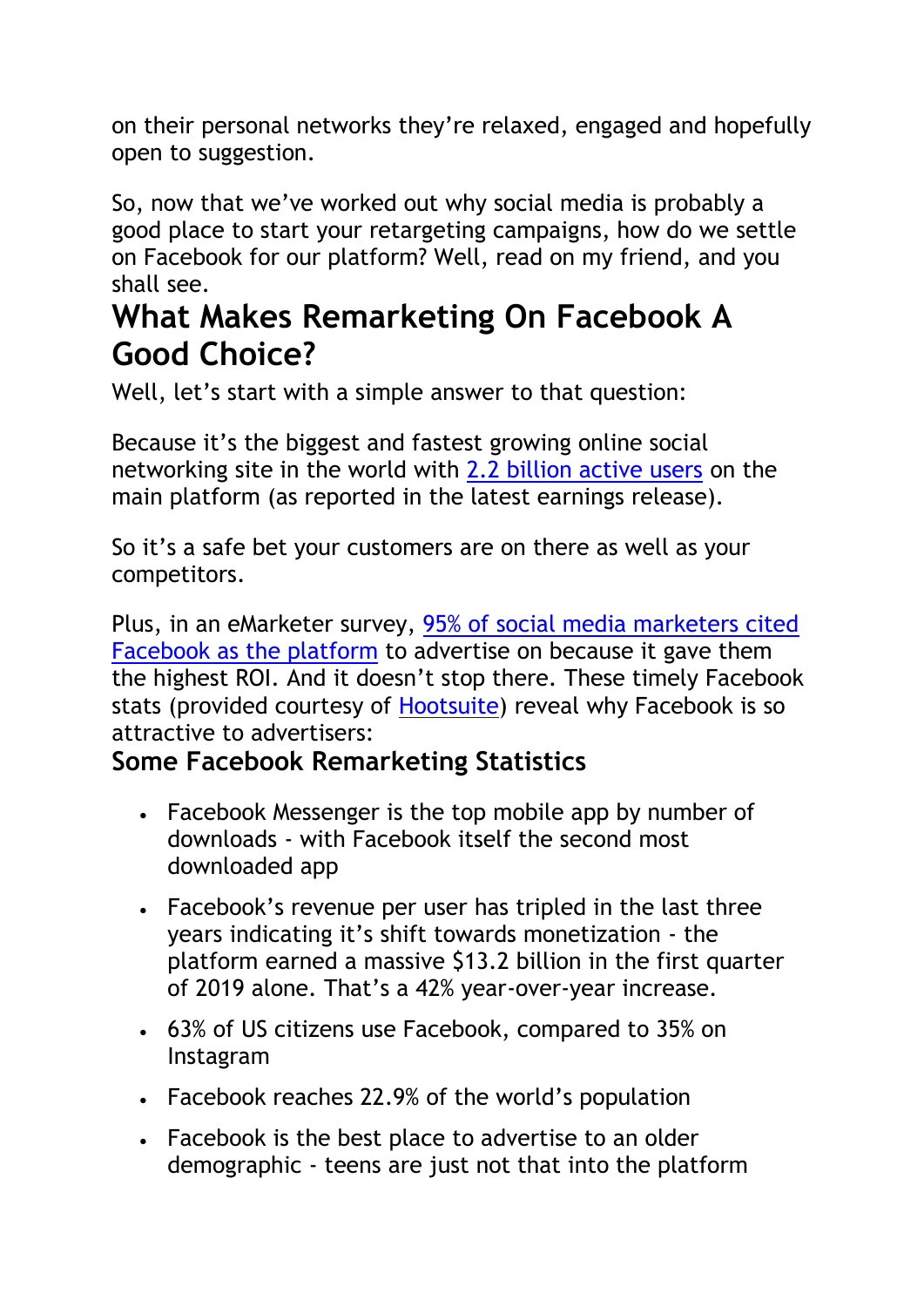on their personal networks they're relaxed, engaged and hopefully open to suggestion.

So, now that we've worked out why social media is probably a good place to start your retargeting campaigns, how do we settle on Facebook for our platform? Well, read on my friend, and you shall see.

# **What Makes Remarketing On Facebook A Good Choice?**

Well, let's start with a simple answer to that question:

Because it's the biggest and fastest growing online social networking site in the world with [2.2 billion active users](https://wearesocial.com/blog/2018/07/internet-growth-accelerates-but-facebook-ad-engagement-tumbles) on the main platform (as reported in the latest earnings release).

So it's a safe bet your customers are on there as well as your competitors.

Plus, in an eMarketer survey, [95% of social media marketers cited](https://www.emarketer.com/Article/Social-Media-Marketers-Facebook-Produces-Best-ROI/1013918)  [Facebook as](https://www.emarketer.com/Article/Social-Media-Marketers-Facebook-Produces-Best-ROI/1013918) [the](https://www.emarketer.com/Article/Social-Media-Marketers-Facebook-Produces-Best-ROI/1013918) [platform](https://www.emarketer.com/Article/Social-Media-Marketers-Facebook-Produces-Best-ROI/1013918) to advertise on because it gave them the highest ROI. And it doesn't stop there. These timely Facebook stats (provided courtesy of [Hootsuite\)](https://blog.hootsuite.com/wp-content/uploads/2018/11/01Blog_FacebookStats.png) reveal why Facebook is so attractive to advertisers:

#### **Some Facebook Remarketing Statistics**

- Facebook Messenger is the top mobile app by number of downloads - with Facebook itself the second most downloaded app
- Facebook's revenue per user has tripled in the last three years indicating it's shift towards monetization - the platform earned a massive \$13.2 billion in the first quarter of 2019 alone. That's a 42% year-over-year increase.
- 63% of US citizens use Facebook, compared to 35% on Instagram
- Facebook reaches 22.9% of the world's population
- Facebook is the best place to advertise to an older demographic - teens are just not that into the platform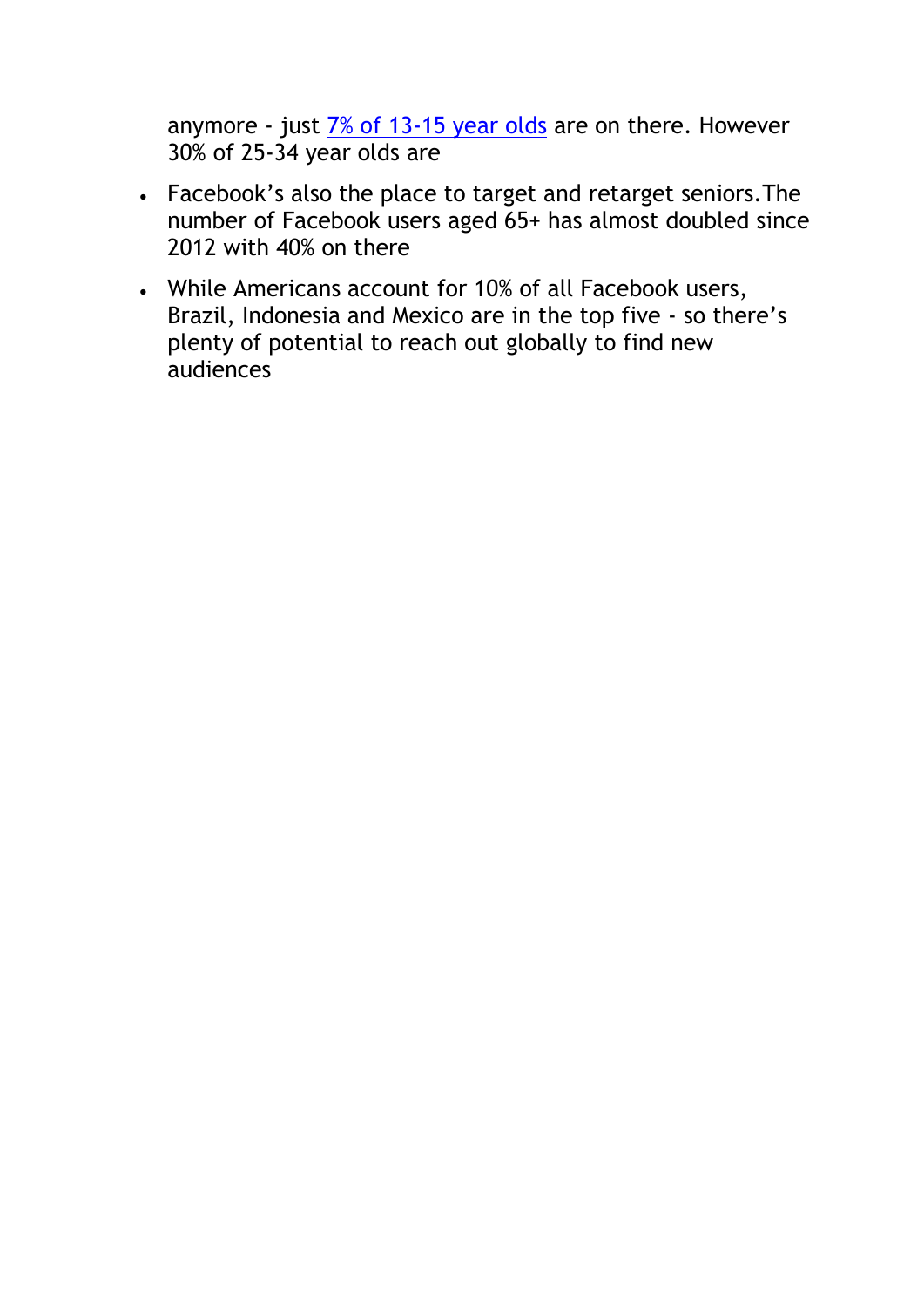anymore - just  $\frac{7\% \text{ of } 13-15 \text{ year old}}{2 \text{ year} \text{ old}}$  are on there. However 30% of 25-34 year olds are

- Facebook's also the place to target and retarget seniors.The number of Facebook users aged 65+ has almost doubled since 2012 with 40% on there
- While Americans account for 10% of all Facebook users, Brazil, Indonesia and Mexico are in the top five - so there's plenty of potential to reach out globally to find new audiences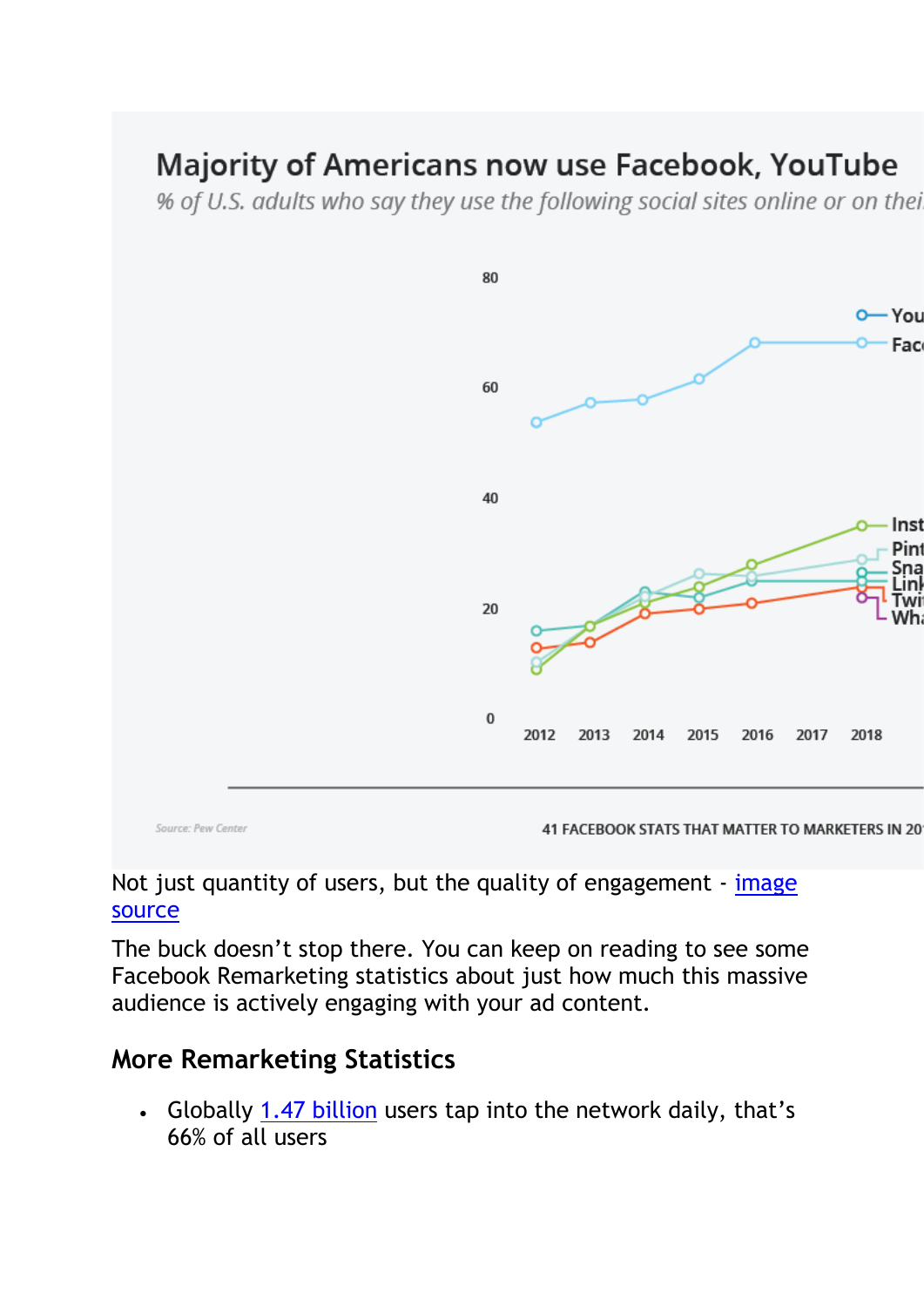# **Majority of Americans now use Facebook, YouTube**

% of U.S. adults who say they use the following social sites online or on thei



#### Not just quantity of users, but the quality of engagement - image [source](https://blog.hootsuite.com/wp-content/uploads/2018/11/02Blog_FacebookStats.png)

The buck doesn't stop there. You can keep on reading to see some Facebook Remarketing statistics about just how much this massive audience is actively engaging with your ad content.

#### **More Remarketing Statistics**

• Globally [1.47 billion](https://www.facebook.com/business/ads) users tap into the network daily, that's 66% of all users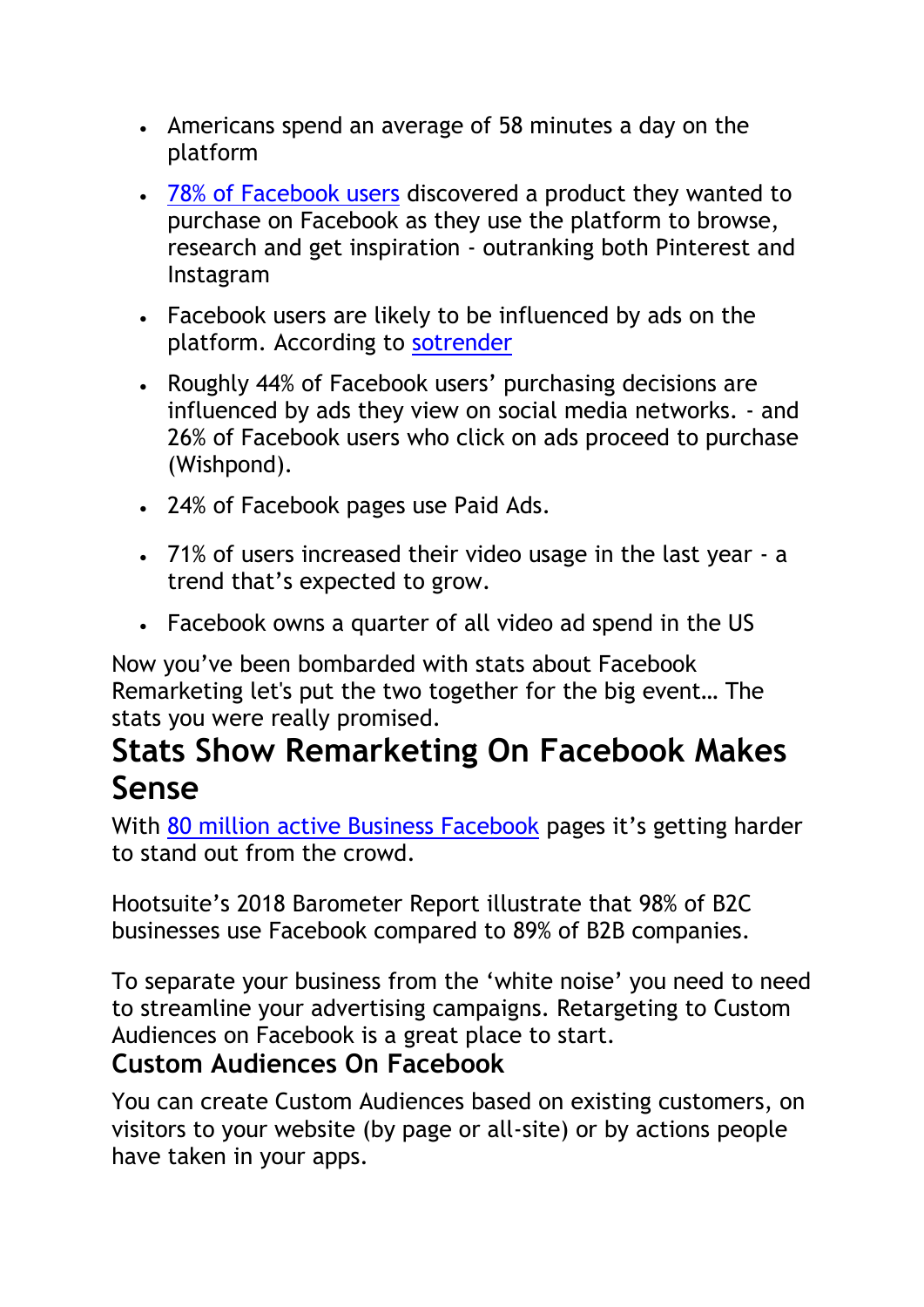- Americans spend an average of 58 minutes a day on the platform
- [78% of Facebook](https://blog.hootsuite.com/facebook-statistics/) users discovered a product they wanted to purchase on Facebook as they use the platform to browse, research and get inspiration - outranking both Pinterest and Instagram
- Facebook users are likely to be influenced by ads on the platform. According to [sotrender](https://www.sotrender.com/resources/knowledge-base/facebook/guide-facebook-remarketing-ecommerce/)
- Roughly 44% of Facebook users' purchasing decisions are influenced by ads they view on social media networks. - and 26% of Facebook users who click on ads proceed to purchase (Wishpond).
- 24% of Facebook pages use Paid Ads.
- 71% of users increased their video usage in the last year a trend that's expected to grow.
- Facebook owns a quarter of all video ad spend in the US

Now you've been bombarded with stats about Facebook Remarketing let's put the two together for the big event… The stats you were really promised.

### **Stats Show Remarketing On Facebook Makes Sense**

With [80 million active Business Facebook](https://www.business2community.com/facebook/12-facebook-stats-online-sellers-need-to-know-in-2019-02193252) pages it's getting harder to stand out from the crowd.

Hootsuite's 2018 Barometer Report illustrate that 98% of B2C businesses use Facebook compared to 89% of B2B companies.

To separate your business from the 'white noise' you need to need to streamline your advertising campaigns. Retargeting to Custom Audiences on Facebook is a great place to start.

#### **Custom Audiences On Facebook**

You can create Custom Audiences based on existing customers, on visitors to your website (by page or all-site) or by actions people have taken in your apps.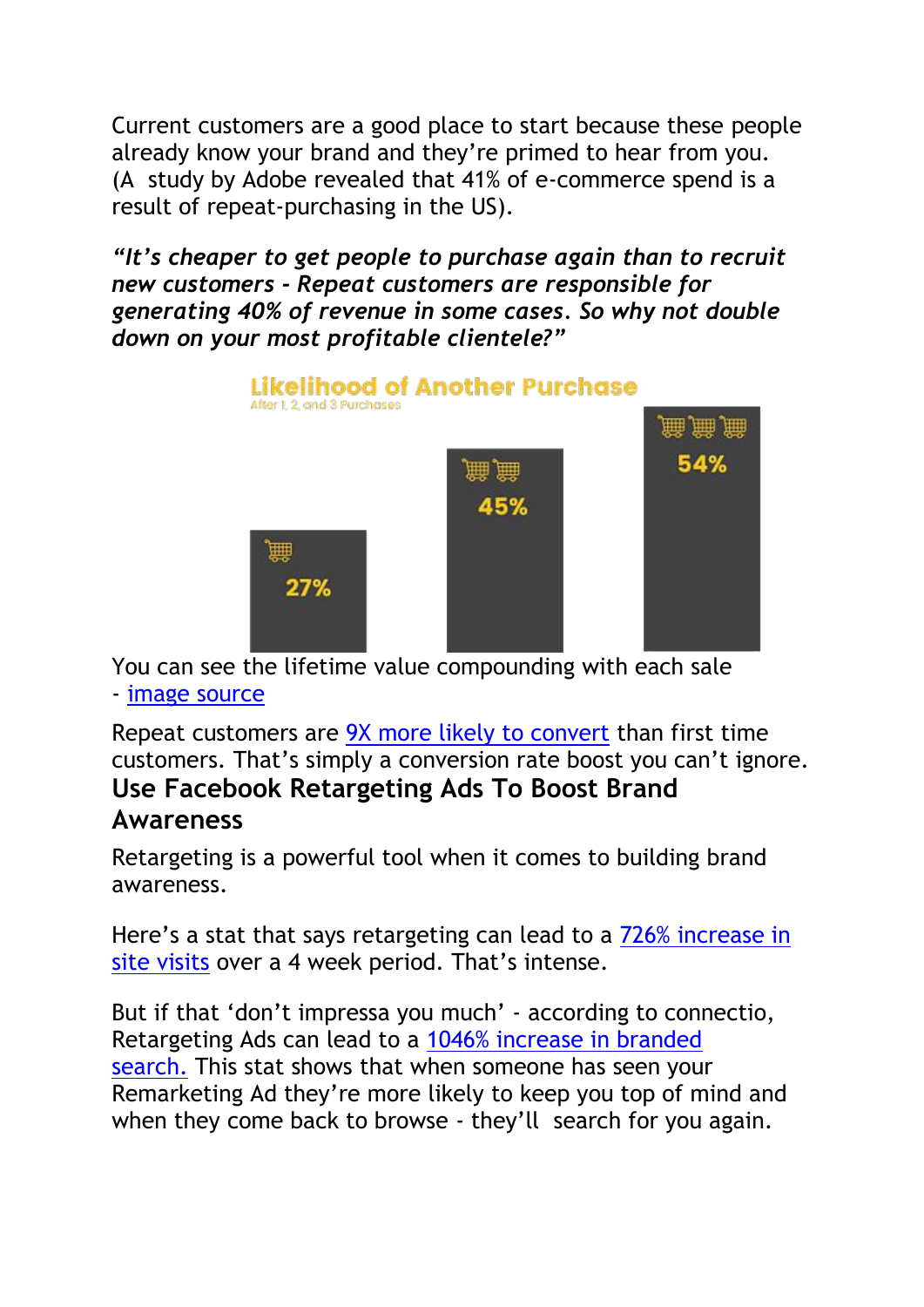Current customers are a good place to start because these people already know your brand and they're primed to hear from you. (A study by Adobe revealed that 41% of e-commerce spend is a result of repeat-purchasing in the US).

*"It's cheaper to get people to purchase again than to recruit new customers - Repeat customers are responsible for generating 40% of revenue in some cases. So why not double down on your most profitable clientele?"*



You can see the lifetime value compounding with each sale - [image source](https://www.shopify.com/enterprise/increase-customer-lifetime-value-clv)

Repeat customers are [9X more likely to convert](https://blog.smile.io/repeat-customers-profitable-stats-to-prove) than first time customers. That's simply a conversion rate boost you can't ignore. **Use Facebook Retargeting Ads To Boost Brand Awareness**

Retargeting is a powerful tool when it comes to building brand awareness.

Here's a stat that says retargeting can lead to a [726% increase in](https://www.sotrender.com/resources/knowledge-base/facebook/guide-facebook-remarketing-ecommerce/)  [site visits](https://www.sotrender.com/resources/knowledge-base/facebook/guide-facebook-remarketing-ecommerce/) over a 4 week period. That's intense.

But if that 'don't impressa you much' - according to connectio, Retargeting Ads can lead to a [1046% increase in branded](https://docs.google.com/document/d/1SN2HCLmfqtTQNINbji4v3G53xY-3BGa41P85DdXXDOs/edit)  [search.](https://docs.google.com/document/d/1SN2HCLmfqtTQNINbji4v3G53xY-3BGa41P85DdXXDOs/edit) This stat shows that when someone has seen your Remarketing Ad they're more likely to keep you top of mind and when they come back to browse - they'll search for you again.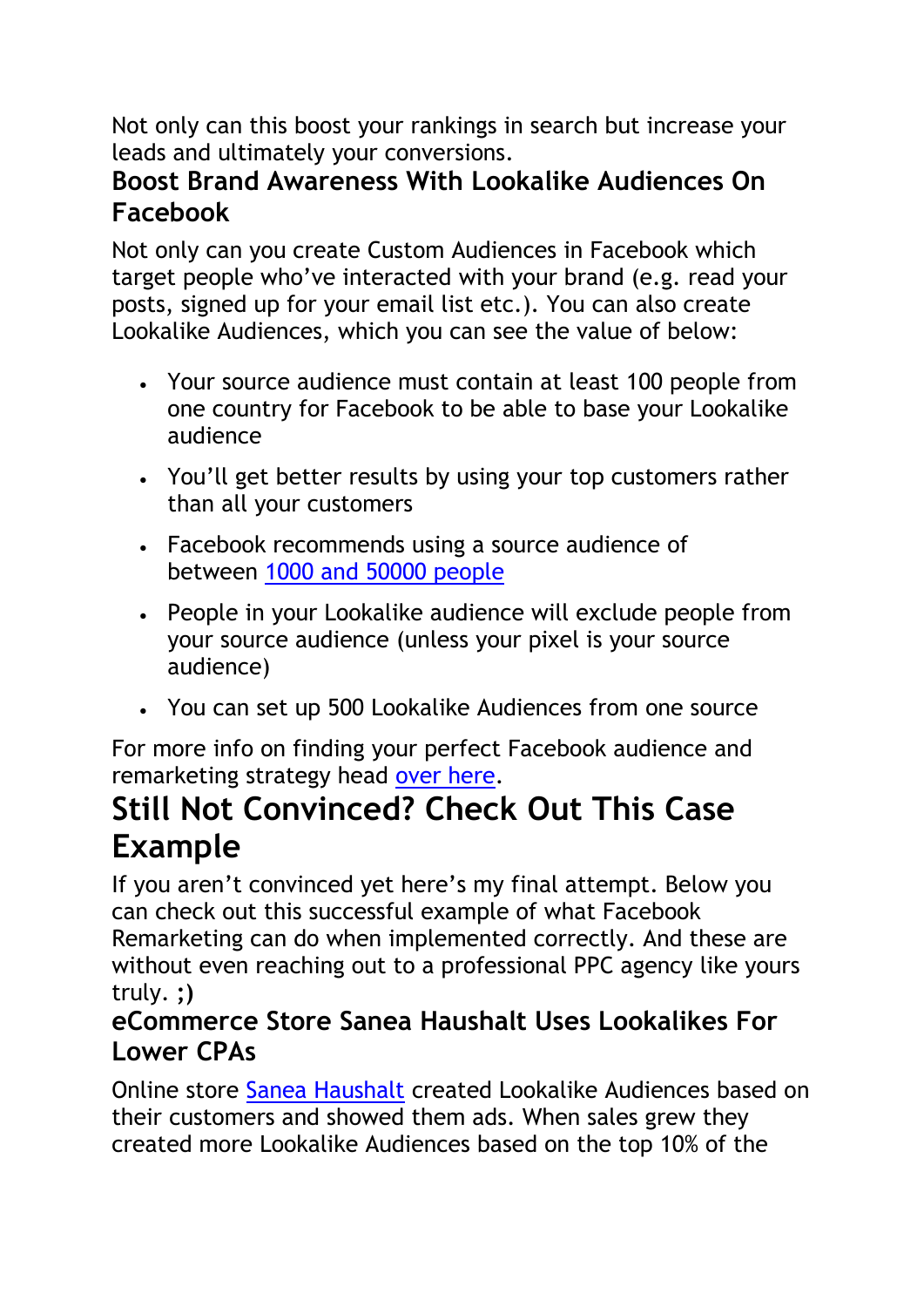Not only can this boost your rankings in search but increase your leads and ultimately your conversions.

#### **Boost Brand Awareness With Lookalike Audiences On Facebook**

Not only can you create Custom Audiences in Facebook which target people who've interacted with your brand (e.g. read your posts, signed up for your email list etc.). You can also create Lookalike Audiences, which you can see the value of below:

- Your source audience must contain at least 100 people from one country for Facebook to be able to base your Lookalike audience
- You'll get better results by using your top customers rather than all your customers
- Facebook recommends using a source audience of between [1000 and 50000 people](https://www.facebook.com/business/help/164749007013531?id=401668390442328)
- People in your Lookalike audience will exclude people from your source audience (unless your pixel is your source audience)
- You can set up 500 Lookalike Audiences from one source

For more info on finding your perfect Facebook audience and remarketing strategy head [over here.](https://klientboost.com/ppc/facebook-advertising-tips/?utm_medium=resource-page)

# **Still Not Convinced? Check Out This Case Example**

If you aren't convinced yet here's my final attempt. Below you can check out this successful example of what Facebook Remarketing can do when implemented correctly. And these are without even reaching out to a professional PPC agency like yours truly. **;)**

#### **eCommerce Store Sanea Haushalt Uses Lookalikes For Lower CPAs**

Online store [Sanea Haushalt](https://en-gb.facebook.com/business/success/sanea-haushalt) created Lookalike Audiences based on their customers and showed them ads. When sales grew they created more Lookalike Audiences based on the top 10% of the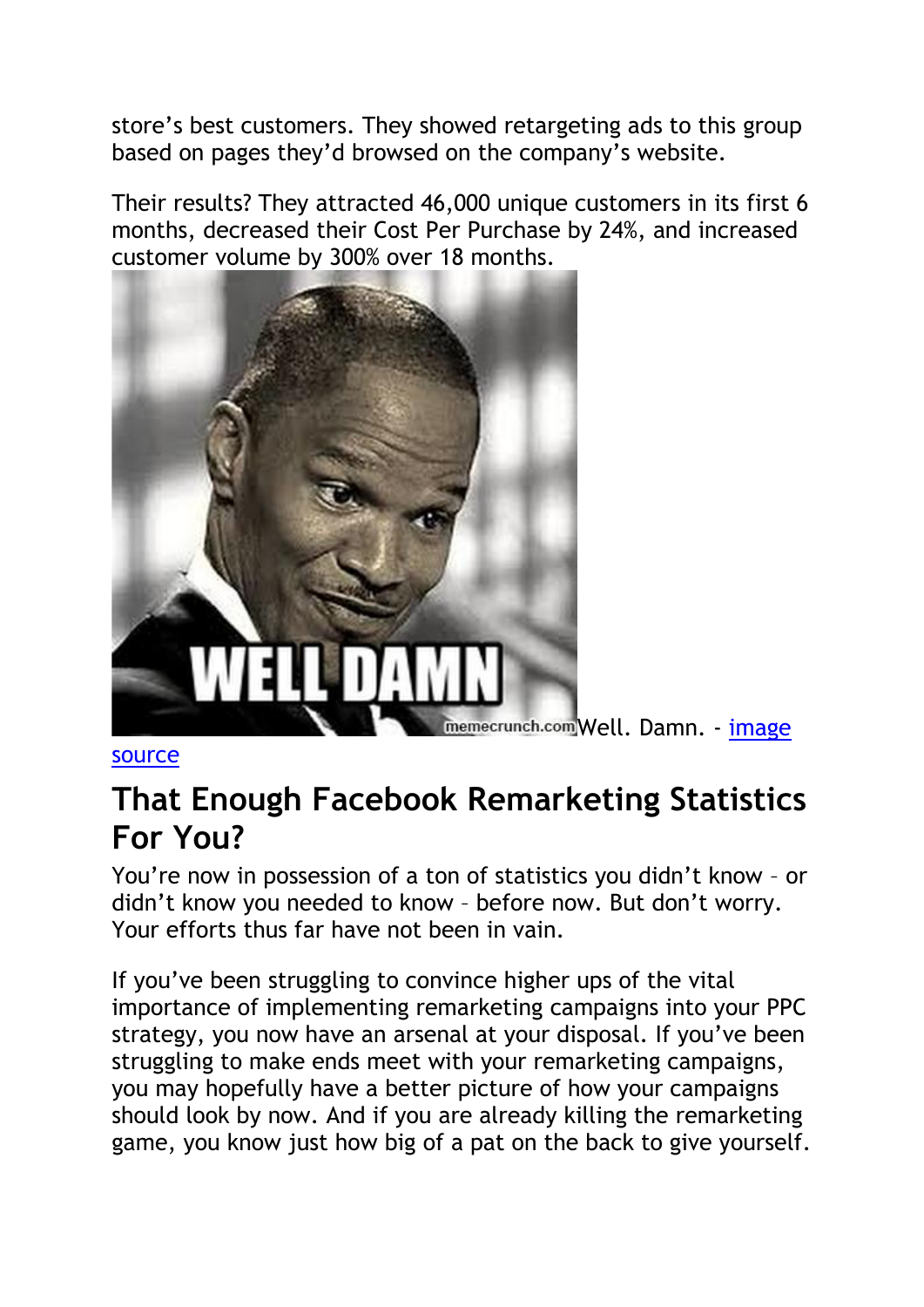store's best customers. They showed retargeting ads to this group based on pages they'd browsed on the company's website.

Their results? They attracted 46,000 unique customers in its first 6 months, decreased their Cost Per Purchase by 24%, and increased customer volume by 300% over 18 months.



[source](https://memecrunch.com/meme/3F4J5/well-damn)

## **That Enough Facebook Remarketing Statistics For You?**

You're now in possession of a ton of statistics you didn't know – or didn't know you needed to know – before now. But don't worry. Your efforts thus far have not been in vain.

If you've been struggling to convince higher ups of the vital importance of implementing remarketing campaigns into your PPC strategy, you now have an arsenal at your disposal. If you've been struggling to make ends meet with your remarketing campaigns, you may hopefully have a better picture of how your campaigns should look by now. And if you are already killing the remarketing game, you know just how big of a pat on the back to give yourself.